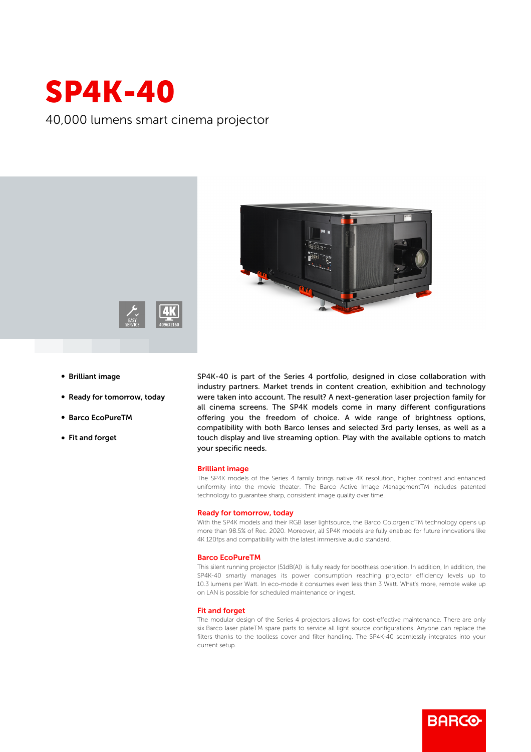# SP4K-40

40,000 lumens smart cinema projector





- **Brilliant image**
- Ready for tomorrow, today
- b Barco EcoPureTM
- Fit and forget

SP4K-40 is part of the Series 4 portfolio, designed in close collaboration with industry partners. Market trends in content creation, exhibition and technology were taken into account. The result? A next-generation laser projection family for all cinema screens. The SP4K models come in many different configurations offering you the freedom of choice. A wide range of brightness options, compatibility with both Barco lenses and selected 3rd party lenses, as well as a touch display and live streaming option. Play with the available options to match your specific needs.

### Brilliant image

The SP4K models of the Series 4 family brings native 4K resolution, higher contrast and enhanced uniformity into the movie theater. The Barco Active Image ManagementTM includes patented technology to guarantee sharp, consistent image quality over time.

#### Ready for tomorrow, today

With the SP4K models and their RGB laser lightsource, the Barco ColorgenicTM technology opens up more than 98.5% of Rec. 2020. Moreover, all SP4K models are fully enabled for future innovations like 4K 120fps and compatibility with the latest immersive audio standard.

#### Barco EcoPureTM

This silent running projector (51dB(A)) is fully ready for boothless operation. In addition, In addition, the SP4K-40 smartly manages its power consumption reaching projector efficiency levels up to 10.3 lumens per Watt. In eco-mode it consumes even less than 3 Watt. What's more, remote wake up on LAN is possible for scheduled maintenance or ingest.

#### Fit and forget

The modular design of the Series 4 projectors allows for cost-effective maintenance. There are only six Barco laser plateTM spare parts to service all light source configurations. Anyone can replace the filters thanks to the toolless cover and filter handling. The SP4K-40 seamlessly integrates into your current setup.

**BARGO**